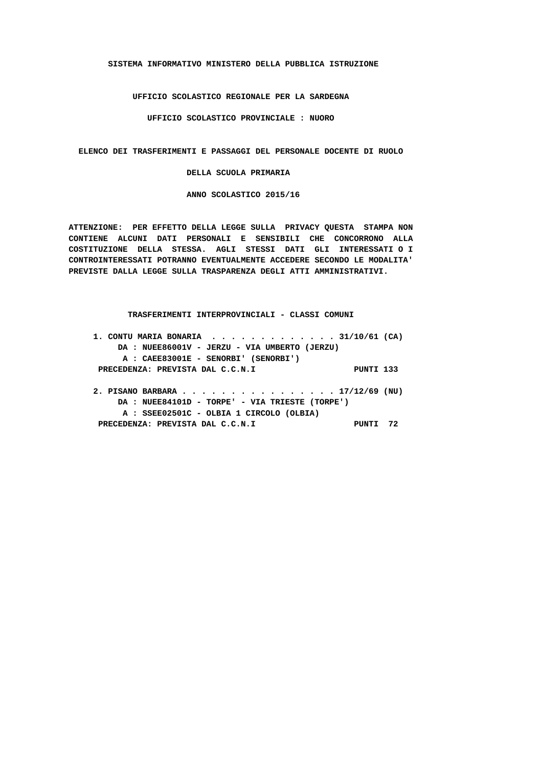**SISTEMA INFORMATIVO MINISTERO DELLA PUBBLICA ISTRUZIONE**

 **UFFICIO SCOLASTICO REGIONALE PER LA SARDEGNA**

 **UFFICIO SCOLASTICO PROVINCIALE : NUORO**

 **ELENCO DEI TRASFERIMENTI E PASSAGGI DEL PERSONALE DOCENTE DI RUOLO**

 **DELLA SCUOLA PRIMARIA**

 **ANNO SCOLASTICO 2015/16**

 **ATTENZIONE: PER EFFETTO DELLA LEGGE SULLA PRIVACY QUESTA STAMPA NON CONTIENE ALCUNI DATI PERSONALI E SENSIBILI CHE CONCORRONO ALLA COSTITUZIONE DELLA STESSA. AGLI STESSI DATI GLI INTERESSATI O I CONTROINTERESSATI POTRANNO EVENTUALMENTE ACCEDERE SECONDO LE MODALITA' PREVISTE DALLA LEGGE SULLA TRASPARENZA DEGLI ATTI AMMINISTRATIVI.**

## **TRASFERIMENTI INTERPROVINCIALI - CLASSI COMUNI**

| 1. CONTU MARIA BONARIA 31/10/61 (CA)             |    |
|--------------------------------------------------|----|
| DA: NUEE86001V - JERZU - VIA UMBERTO (JERZU)     |    |
| A : CAEE83001E - SENORBI' (SENORBI')             |    |
| PRECEDENZA: PREVISTA DAL C.C.N.I<br>PINTI 133    |    |
|                                                  |    |
| 2. PISANO BARBARA 17/12/69 (NU)                  |    |
| $DA: NUEE84101D - TORPE' - VIA TRIESTE (TORPE')$ |    |
| A : SSEE02501C - OLBIA 1 CIRCOLO (OLBIA)         |    |
| PRECEDENZA: PREVISTA DAL C.C.N.I<br>PINTT        | 72 |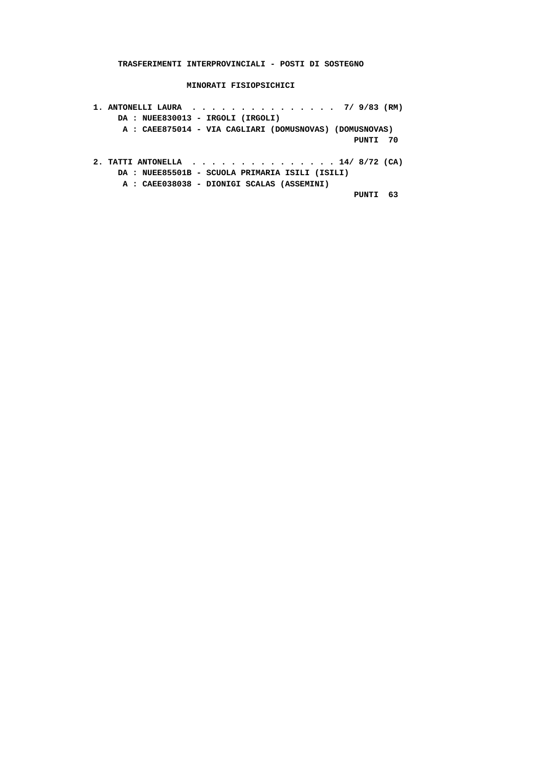**TRASFERIMENTI INTERPROVINCIALI - POSTI DI SOSTEGNO**

 **MINORATI FISIOPSICHICI**

 **1. ANTONELLI LAURA . . . . . . . . . . . . . . . 7/ 9/83 (RM) DA : NUEE830013 - IRGOLI (IRGOLI) A : CAEE875014 - VIA CAGLIARI (DOMUSNOVAS) (DOMUSNOVAS) PUNTI 70 2. TATTI ANTONELLA . . . . . . . . . . . . . . . 14/ 8/72 (CA) DA : NUEE85501B - SCUOLA PRIMARIA ISILI (ISILI) A : CAEE038038 - DIONIGI SCALAS (ASSEMINI) PUNTI 63**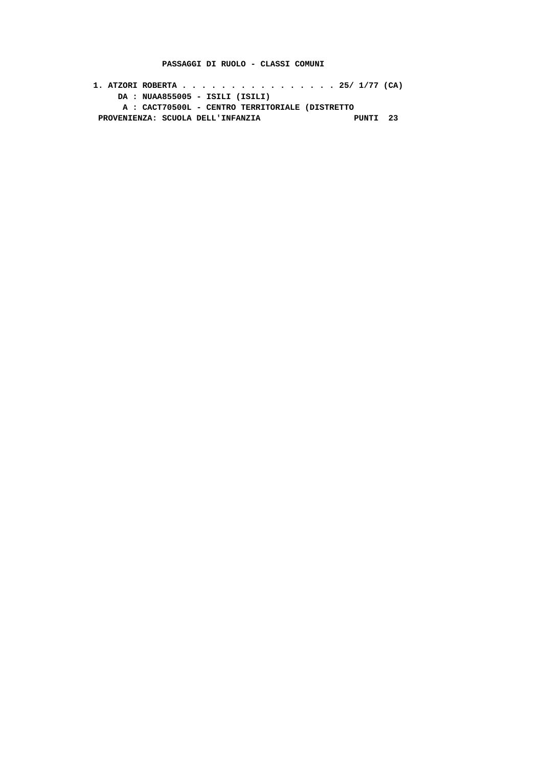#### **PASSAGGI DI RUOLO - CLASSI COMUNI**

 **1. ATZORI ROBERTA . . . . . . . . . . . . . . . . 25/ 1/77 (CA) DA : NUAA855005 - ISILI (ISILI) A : CACT70500L - CENTRO TERRITORIALE (DISTRETTO** PROVENIENZA: SCUOLA DELL'INFANZIA **PUNTI 23**